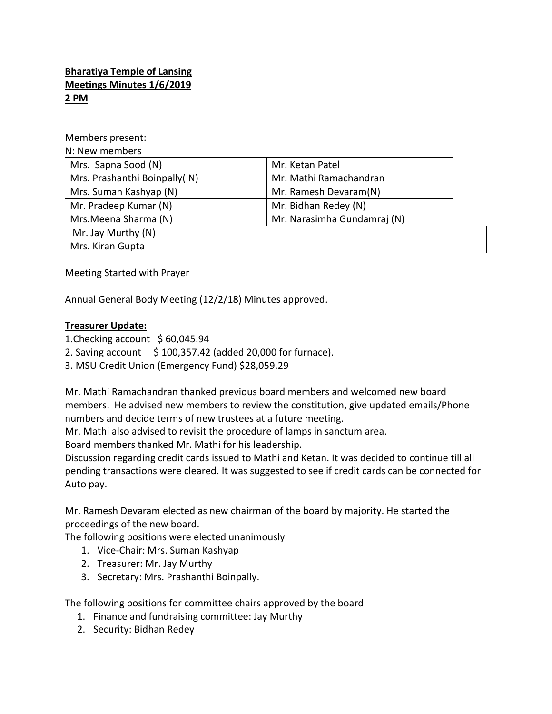## **Bharatiya Temple of Lansing Meetings Minutes 1/6/2019 2 PM**

Members present:

N: New members

| Mrs. Sapna Sood (N)          | Mr. Ketan Patel             |
|------------------------------|-----------------------------|
| Mrs. Prashanthi Boinpally(N) | Mr. Mathi Ramachandran      |
| Mrs. Suman Kashyap (N)       | Mr. Ramesh Devaram(N)       |
| Mr. Pradeep Kumar (N)        | Mr. Bidhan Redey (N)        |
| Mrs. Meena Sharma (N)        | Mr. Narasimha Gundamraj (N) |
| Mr. Jay Murthy (N)           |                             |
| Mrs. Kiran Gupta             |                             |

Meeting Started with Prayer

Annual General Body Meeting (12/2/18) Minutes approved.

## **Treasurer Update:**

- 1.Checking account \$ 60,045.94
- 2. Saving account  $\frac{1}{2}$  100,357.42 (added 20,000 for furnace).
- 3. MSU Credit Union (Emergency Fund) \$28,059.29

Mr. Mathi Ramachandran thanked previous board members and welcomed new board members. He advised new members to review the constitution, give updated emails/Phone numbers and decide terms of new trustees at a future meeting.

Mr. Mathi also advised to revisit the procedure of lamps in sanctum area.

Board members thanked Mr. Mathi for his leadership.

Discussion regarding credit cards issued to Mathi and Ketan. It was decided to continue till all pending transactions were cleared. It was suggested to see if credit cards can be connected for Auto pay.

Mr. Ramesh Devaram elected as new chairman of the board by majority. He started the proceedings of the new board.

The following positions were elected unanimously

- 1. Vice-Chair: Mrs. Suman Kashyap
- 2. Treasurer: Mr. Jay Murthy
- 3. Secretary: Mrs. Prashanthi Boinpally.

The following positions for committee chairs approved by the board

- 1. Finance and fundraising committee: Jay Murthy
- 2. Security: Bidhan Redey